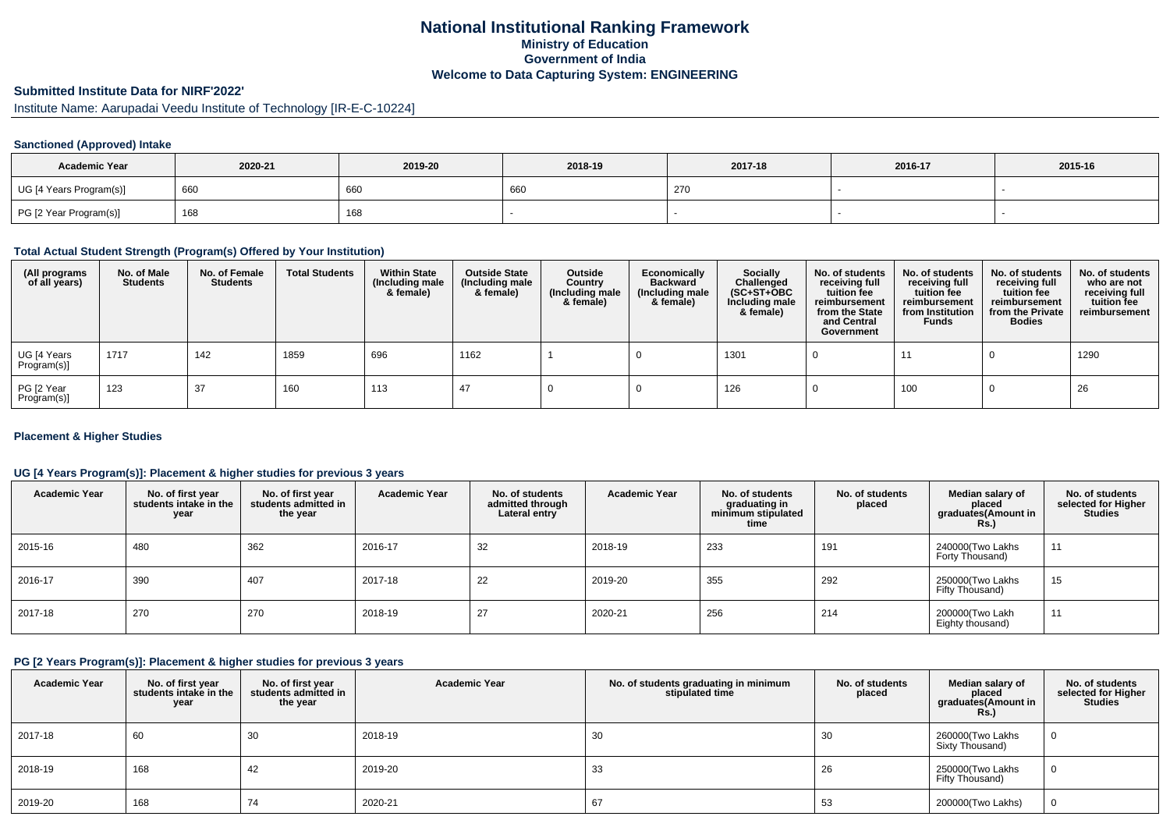# **National Institutional Ranking FrameworkMinistry of Education Government of IndiaWelcome to Data Capturing System: ENGINEERING**

# **Submitted Institute Data for NIRF'2022'**

Institute Name: Aarupadai Veedu Institute of Technology [IR-E-C-10224]

### **Sanctioned (Approved) Intake**

| <b>Academic Year</b>    | 2020-21 | 2019-20 | 2018-19 | 2017-18 | 2016-17 | 2015-16 |
|-------------------------|---------|---------|---------|---------|---------|---------|
| UG [4 Years Program(s)] | 660     | 66C     | 660     | 270     |         |         |
| PG [2 Year Program(s)]  | 168     | 168     |         |         |         |         |

### **Total Actual Student Strength (Program(s) Offered by Your Institution)**

| (All programs<br>of all years) | No. of Male<br><b>Students</b> | No. of Female<br><b>Students</b> | <b>Total Students</b> | <b>Within State</b><br>(Including male<br>& female) | <b>Outside State</b><br>(Including male<br>& female) | Outside<br>Country<br>(Including male<br>& female) | Economically<br><b>Backward</b><br>(Including male<br>& female) | Socially<br>Challenged<br>$(SC+ST+OBC)$<br>Including male<br>& female) | No. of students<br>receiving full<br>tuition fee<br>reimbursement<br>from the State<br>and Central<br>Government | No. of students<br>receiving full<br>tuition fee<br>reimbursement<br>from Institution<br><b>Funds</b> | No. of students<br>receiving full<br>tuition fee<br>reimbursement<br>from the Private<br><b>Bodies</b> | No. of students<br>who are not<br>receiving full<br>tuition fee<br>reimbursement |
|--------------------------------|--------------------------------|----------------------------------|-----------------------|-----------------------------------------------------|------------------------------------------------------|----------------------------------------------------|-----------------------------------------------------------------|------------------------------------------------------------------------|------------------------------------------------------------------------------------------------------------------|-------------------------------------------------------------------------------------------------------|--------------------------------------------------------------------------------------------------------|----------------------------------------------------------------------------------|
| UG [4 Years<br>Program(s)]     | 1717                           | 142                              | 1859                  | 696                                                 | 1162                                                 |                                                    |                                                                 | 1301                                                                   |                                                                                                                  | 11                                                                                                    |                                                                                                        | 1290                                                                             |
| PG [2 Year<br>Program(s)]      | 123                            | 37                               | 160                   | 113                                                 | 47                                                   |                                                    |                                                                 | 126                                                                    |                                                                                                                  | 100                                                                                                   |                                                                                                        | 26                                                                               |

### **Placement & Higher Studies**

### **UG [4 Years Program(s)]: Placement & higher studies for previous 3 years**

| <b>Academic Year</b> | No. of first year<br>students intake in the<br>year | No. of first vear<br>students admitted in<br>the year | <b>Academic Year</b> | No. of students<br>admitted through<br>Lateral entry | <b>Academic Year</b> | No. of students<br>graduating in<br>minimum stipulated<br>time | No. of students<br>placed | Median salary of<br>placed<br>graduates(Amount in<br><b>Rs.</b> ) | No. of students<br>selected for Higher<br><b>Studies</b> |
|----------------------|-----------------------------------------------------|-------------------------------------------------------|----------------------|------------------------------------------------------|----------------------|----------------------------------------------------------------|---------------------------|-------------------------------------------------------------------|----------------------------------------------------------|
| 2015-16              | 480                                                 | 362                                                   | 2016-17              | 32                                                   | 2018-19              | 233                                                            | 191                       | 240000(Two Lakhs<br>Forty Thousand)                               | 11                                                       |
| 2016-17              | 390                                                 | 407                                                   | 2017-18              | 22                                                   | 2019-20              | 355                                                            | 292                       | 250000(Two Lakhs<br>Fifty Thousand)                               | 15                                                       |
| 2017-18              | 270                                                 | 270                                                   | 2018-19              | 27                                                   | 2020-21              | 256                                                            | 214                       | 200000(Two Lakh<br>Eighty thousand)                               | 11                                                       |

#### **PG [2 Years Program(s)]: Placement & higher studies for previous 3 years**

| <b>Academic Year</b> | No. of first year<br>students intake in the<br>year | No. of first year<br>students admitted in<br>the year | <b>Academic Year</b> | No. of students graduating in minimum<br>stipulated time | No. of students<br>placed | Median salary of<br>placed<br>graduates(Amount in<br><b>Rs.)</b> | No. of students<br>selected for Higher<br><b>Studies</b> |
|----------------------|-----------------------------------------------------|-------------------------------------------------------|----------------------|----------------------------------------------------------|---------------------------|------------------------------------------------------------------|----------------------------------------------------------|
| 2017-18              | 60                                                  | 30                                                    | 2018-19              | 30                                                       | 30                        | 260000(Two Lakhs<br>Sixty Thousand)                              | 0                                                        |
| 2018-19              | 168                                                 | 42                                                    | 2019-20              | 33                                                       | 26                        | 250000(Two Lakhs<br>Fifty Thousand)                              | 0                                                        |
| 2019-20              | 168                                                 | 74                                                    | 2020-21              | 67                                                       | 53                        | 200000(Two Lakhs)                                                | 0                                                        |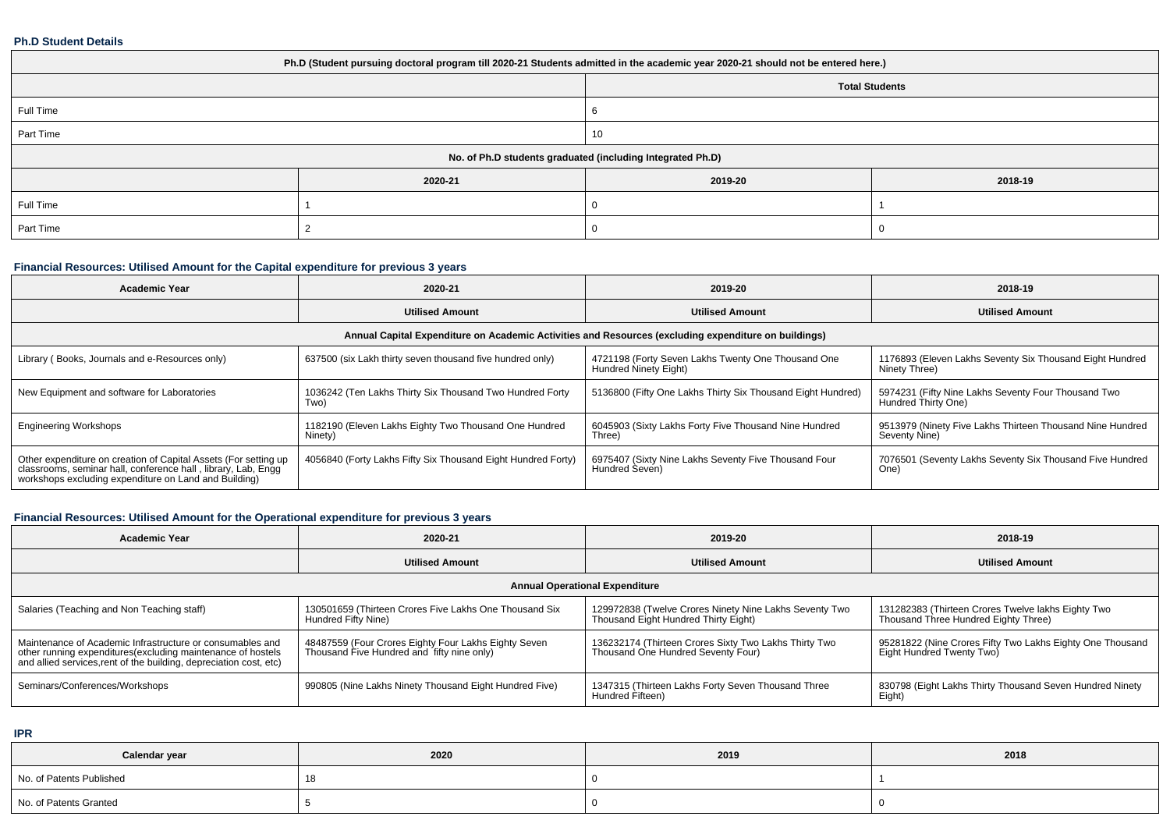#### **Ph.D Student Details**

| Ph.D (Student pursuing doctoral program till 2020-21 Students admitted in the academic year 2020-21 should not be entered here.) |         |         |         |  |  |  |  |
|----------------------------------------------------------------------------------------------------------------------------------|---------|---------|---------|--|--|--|--|
| <b>Total Students</b>                                                                                                            |         |         |         |  |  |  |  |
| Full Time                                                                                                                        |         | n       |         |  |  |  |  |
| Part Time                                                                                                                        |         | 10      |         |  |  |  |  |
| No. of Ph.D students graduated (including Integrated Ph.D)                                                                       |         |         |         |  |  |  |  |
|                                                                                                                                  | 2020-21 | 2019-20 | 2018-19 |  |  |  |  |
| Full Time                                                                                                                        |         |         |         |  |  |  |  |
| Part Time                                                                                                                        |         |         |         |  |  |  |  |

# **Financial Resources: Utilised Amount for the Capital expenditure for previous 3 years**

| <b>Academic Year</b>                                                                                                                                                                      | 2020-21                                                                                              | 2019-20                                                                     | 2018-19                                                                    |  |  |  |  |  |  |  |
|-------------------------------------------------------------------------------------------------------------------------------------------------------------------------------------------|------------------------------------------------------------------------------------------------------|-----------------------------------------------------------------------------|----------------------------------------------------------------------------|--|--|--|--|--|--|--|
|                                                                                                                                                                                           | <b>Utilised Amount</b>                                                                               | <b>Utilised Amount</b>                                                      | <b>Utilised Amount</b>                                                     |  |  |  |  |  |  |  |
|                                                                                                                                                                                           | Annual Capital Expenditure on Academic Activities and Resources (excluding expenditure on buildings) |                                                                             |                                                                            |  |  |  |  |  |  |  |
| Library (Books, Journals and e-Resources only)                                                                                                                                            | 637500 (six Lakh thirty seven thousand five hundred only)                                            | 4721198 (Forty Seven Lakhs Twenty One Thousand One<br>Hundred Ninety Eight) | 1176893 (Eleven Lakhs Seventy Six Thousand Eight Hundred<br>Ninety Three)  |  |  |  |  |  |  |  |
| New Equipment and software for Laboratories                                                                                                                                               | 1036242 (Ten Lakhs Thirty Six Thousand Two Hundred Forty<br>Two)                                     | 5136800 (Fifty One Lakhs Thirty Six Thousand Eight Hundred)                 | 5974231 (Fifty Nine Lakhs Seventy Four Thousand Two<br>Hundred Thirty One) |  |  |  |  |  |  |  |
| <b>Engineering Workshops</b>                                                                                                                                                              | 1182190 (Eleven Lakhs Eighty Two Thousand One Hundred<br>Ninety)                                     | 6045903 (Sixty Lakhs Forty Five Thousand Nine Hundred<br>Three)             | 9513979 (Ninety Five Lakhs Thirteen Thousand Nine Hundred<br>Seventy Nine) |  |  |  |  |  |  |  |
| Other expenditure on creation of Capital Assets (For setting up<br>classrooms, seminar hall, conference hall, library, Lab, Engq<br>workshops excluding expenditure on Land and Building) | 4056840 (Forty Lakhs Fifty Six Thousand Eight Hundred Forty)                                         | 6975407 (Sixty Nine Lakhs Seventy Five Thousand Four<br>Hundred Seven)      | 7076501 (Seventy Lakhs Seventy Six Thousand Five Hundred<br>One)           |  |  |  |  |  |  |  |

# **Financial Resources: Utilised Amount for the Operational expenditure for previous 3 years**

| Academic Year                                                                                                                                                                                  | 2020-21                                                                                            | 2019-20                                                                                        | 2018-19                                                                                    |  |  |  |  |  |  |
|------------------------------------------------------------------------------------------------------------------------------------------------------------------------------------------------|----------------------------------------------------------------------------------------------------|------------------------------------------------------------------------------------------------|--------------------------------------------------------------------------------------------|--|--|--|--|--|--|
|                                                                                                                                                                                                | <b>Utilised Amount</b>                                                                             | <b>Utilised Amount</b>                                                                         | <b>Utilised Amount</b>                                                                     |  |  |  |  |  |  |
| <b>Annual Operational Expenditure</b>                                                                                                                                                          |                                                                                                    |                                                                                                |                                                                                            |  |  |  |  |  |  |
| Salaries (Teaching and Non Teaching staff)                                                                                                                                                     | 130501659 (Thirteen Crores Five Lakhs One Thousand Six<br>Hundred Fifty Nine)                      | 129972838 (Twelve Crores Ninety Nine Lakhs Seventy Two<br>Thousand Eight Hundred Thirty Eight) | 131282383 (Thirteen Crores Twelve lakhs Eighty Two<br>Thousand Three Hundred Eighty Three) |  |  |  |  |  |  |
| Maintenance of Academic Infrastructure or consumables and<br>other running expenditures(excluding maintenance of hostels<br>and allied services, rent of the building, depreciation cost, etc) | 48487559 (Four Crores Eighty Four Lakhs Eighty Seven<br>Thousand Five Hundred and fifty nine only) | 136232174 (Thirteen Crores Sixty Two Lakhs Thirty Two<br>Thousand One Hundred Seventy Four)    | 95281822 (Nine Crores Fifty Two Lakhs Eighty One Thousand<br>Eight Hundred Twenty Two)     |  |  |  |  |  |  |
| Seminars/Conferences/Workshops                                                                                                                                                                 | 990805 (Nine Lakhs Ninety Thousand Eight Hundred Five)                                             | 1347315 (Thirteen Lakhs Forty Seven Thousand Three<br>Hundred Fifteen)                         | 830798 (Eight Lakhs Thirty Thousand Seven Hundred Ninety<br>Eight)                         |  |  |  |  |  |  |

**IPR**

| Calendar year            | 2020 | 2019 | 2018 |
|--------------------------|------|------|------|
| No. of Patents Published | 18   |      |      |
| No. of Patents Granted   |      |      |      |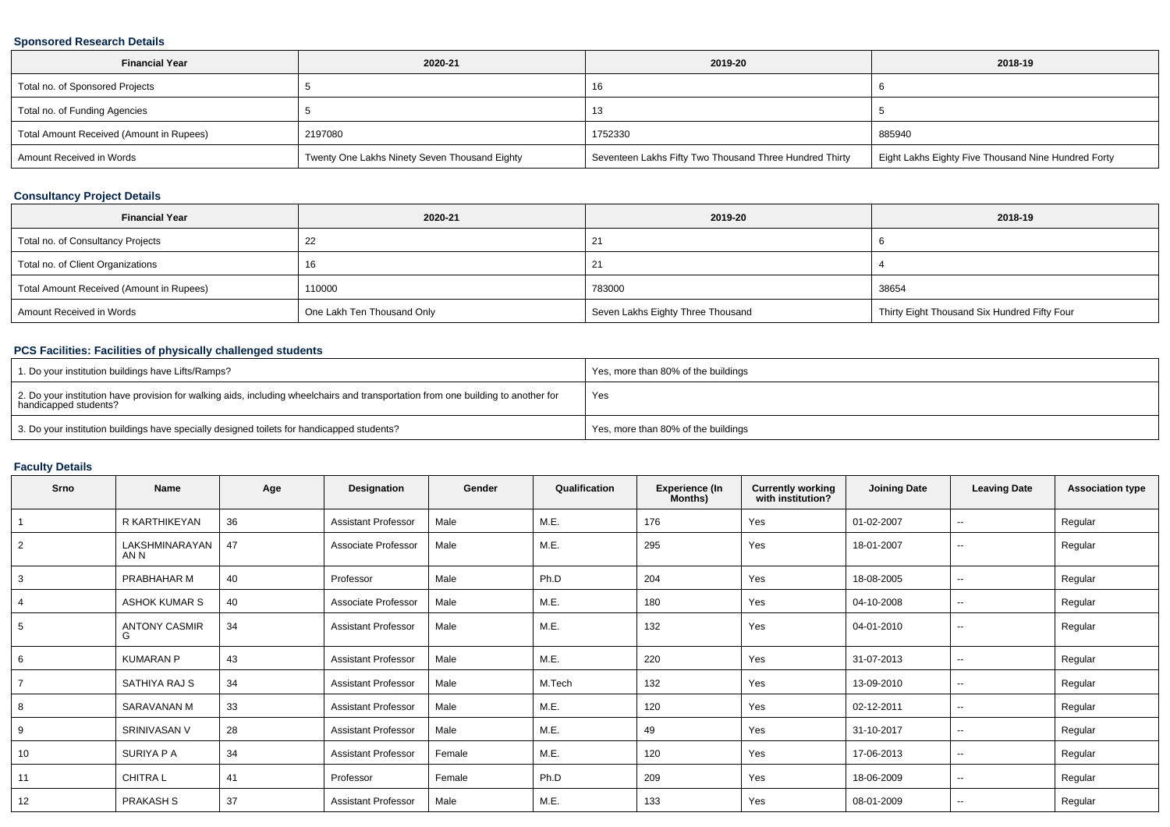### **Sponsored Research Details**

| <b>Financial Year</b>                    | 2020-21                                       | 2019-20                                                 | 2018-19                                             |
|------------------------------------------|-----------------------------------------------|---------------------------------------------------------|-----------------------------------------------------|
| Total no. of Sponsored Projects          |                                               | 16                                                      |                                                     |
| Total no. of Funding Agencies            |                                               | ıз                                                      |                                                     |
| Total Amount Received (Amount in Rupees) | 2197080                                       | 1752330                                                 | 885940                                              |
| Amount Received in Words                 | Twenty One Lakhs Ninety Seven Thousand Eighty | Seventeen Lakhs Fifty Two Thousand Three Hundred Thirty | Eight Lakhs Eighty Five Thousand Nine Hundred Forty |

# **Consultancy Project Details**

| <b>Financial Year</b>                    | 2020-21                    | 2019-20                           | 2018-19                                      |
|------------------------------------------|----------------------------|-----------------------------------|----------------------------------------------|
| Total no. of Consultancy Projects        |                            |                                   |                                              |
| Total no. of Client Organizations        |                            |                                   |                                              |
| Total Amount Received (Amount in Rupees) | 110000                     | 783000                            | 38654                                        |
| Amount Received in Words                 | One Lakh Ten Thousand Only | Seven Lakhs Eighty Three Thousand | Thirty Eight Thousand Six Hundred Fifty Four |

# **PCS Facilities: Facilities of physically challenged students**

| 1. Do your institution buildings have Lifts/Ramps?                                                                                                         | Yes, more than 80% of the buildings |
|------------------------------------------------------------------------------------------------------------------------------------------------------------|-------------------------------------|
| 2. Do your institution have provision for walking aids, including wheelchairs and transportation from one building to another for<br>handicapped students? | Yes                                 |
| 3. Do your institution buildings have specially designed toilets for handicapped students?                                                                 | Yes, more than 80% of the buildings |

# **Faculty Details**

| Srno           | Name                      | Age | Designation                | Gender | Qualification | <b>Experience (In</b><br>Months) | <b>Currently working</b><br>with institution? | <b>Joining Date</b> | <b>Leaving Date</b>      | <b>Association type</b> |
|----------------|---------------------------|-----|----------------------------|--------|---------------|----------------------------------|-----------------------------------------------|---------------------|--------------------------|-------------------------|
|                | R KARTHIKEYAN             | 36  | <b>Assistant Professor</b> | Male   | M.E.          | 176                              | Yes                                           | 01-02-2007          | $\sim$                   | Regular                 |
| 2              | LAKSHMINARAYAN<br>AN N    | 47  | Associate Professor        | Male   | M.E.          | 295                              | Yes                                           | 18-01-2007          | $\sim$                   | Regular                 |
| 3              | PRABHAHAR M               | 40  | Professor                  | Male   | Ph.D          | 204                              | Yes                                           | 18-08-2005          | $\overline{\phantom{a}}$ | Regular                 |
| $\overline{4}$ | <b>ASHOK KUMAR S</b>      | 40  | Associate Professor        | Male   | M.E.          | 180                              | Yes                                           | 04-10-2008          | $\sim$                   | Regular                 |
| 5              | <b>ANTONY CASMIR</b><br>G | 34  | <b>Assistant Professor</b> | Male   | M.E.          | 132                              | Yes                                           | 04-01-2010          | $\sim$                   | Regular                 |
| 6              | <b>KUMARAN P</b>          | 43  | <b>Assistant Professor</b> | Male   | M.E.          | 220                              | Yes                                           | 31-07-2013          | $\overline{\phantom{a}}$ | Regular                 |
| $\overline{7}$ | SATHIYA RAJ S             | 34  | <b>Assistant Professor</b> | Male   | M.Tech        | 132                              | Yes                                           | 13-09-2010          | $\sim$                   | Regular                 |
| 8              | SARAVANAN M               | 33  | <b>Assistant Professor</b> | Male   | M.E.          | 120                              | Yes                                           | 02-12-2011          | $\sim$                   | Regular                 |
| 9              | SRINIVASAN V              | 28  | <b>Assistant Professor</b> | Male   | M.E.          | 49                               | Yes                                           | 31-10-2017          | $\sim$                   | Regular                 |
| 10             | SURIYA P A                | 34  | <b>Assistant Professor</b> | Female | M.E.          | 120                              | Yes                                           | 17-06-2013          | $\overline{\phantom{a}}$ | Regular                 |
| 11             | <b>CHITRAL</b>            | 41  | Professor                  | Female | Ph.D          | 209                              | Yes                                           | 18-06-2009          | $\sim$                   | Regular                 |
| 12             | <b>PRAKASH S</b>          | 37  | <b>Assistant Professor</b> | Male   | M.E.          | 133                              | Yes                                           | 08-01-2009          | $\sim$                   | Regular                 |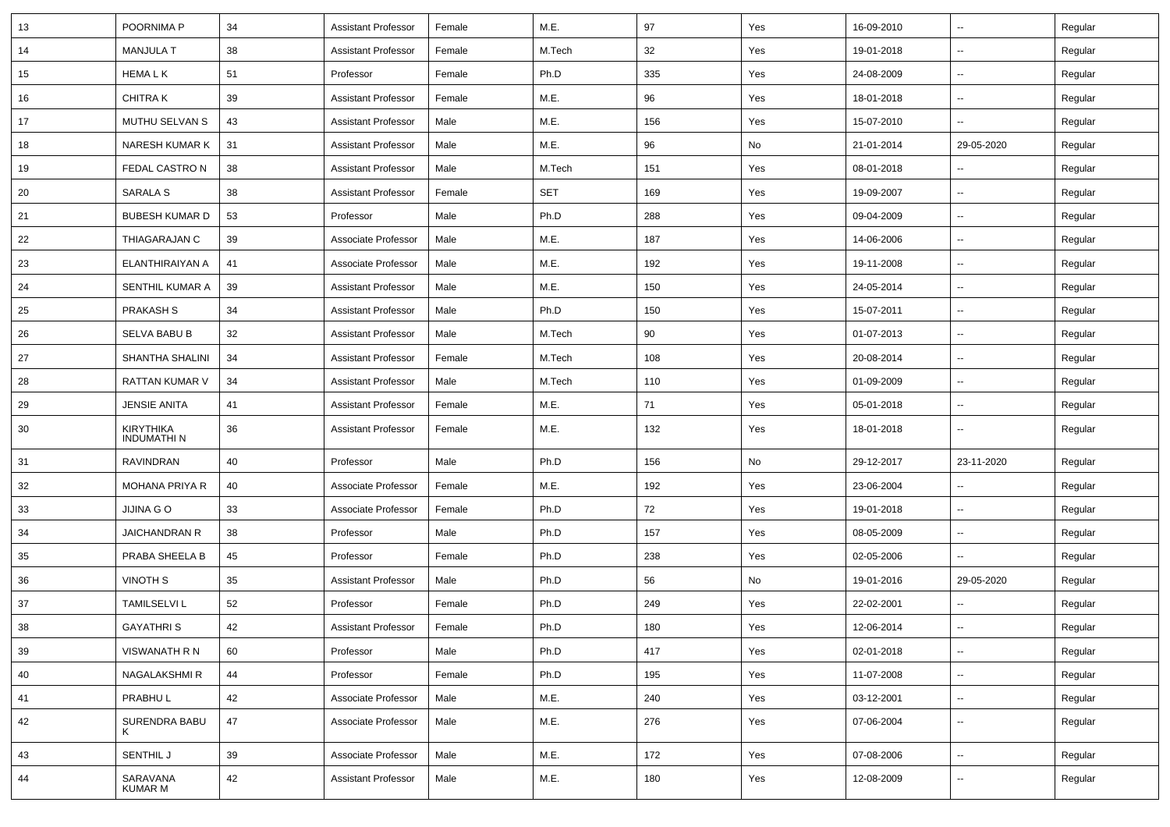| 13 | POORNIMA P                     | 34 | <b>Assistant Professor</b> | Female | M.E.       | 97  | Yes | 16-09-2010 | $\overline{\phantom{a}}$ | Regular |
|----|--------------------------------|----|----------------------------|--------|------------|-----|-----|------------|--------------------------|---------|
| 14 | <b>MANJULA T</b>               | 38 | <b>Assistant Professor</b> | Female | M.Tech     | 32  | Yes | 19-01-2018 | ⊷.                       | Regular |
| 15 | <b>HEMALK</b>                  | 51 | Professor                  | Female | Ph.D       | 335 | Yes | 24-08-2009 | --                       | Regular |
| 16 | <b>CHITRAK</b>                 | 39 | <b>Assistant Professor</b> | Female | M.E.       | 96  | Yes | 18-01-2018 | -−                       | Regular |
| 17 | MUTHU SELVAN S                 | 43 | <b>Assistant Professor</b> | Male   | M.E.       | 156 | Yes | 15-07-2010 | $\overline{\phantom{a}}$ | Regular |
| 18 | <b>NARESH KUMAR K</b>          | 31 | <b>Assistant Professor</b> | Male   | M.E.       | 96  | No  | 21-01-2014 | 29-05-2020               | Regular |
| 19 | FEDAL CASTRON                  | 38 | <b>Assistant Professor</b> | Male   | M.Tech     | 151 | Yes | 08-01-2018 | ⊷.                       | Regular |
| 20 | SARALA S                       | 38 | <b>Assistant Professor</b> | Female | <b>SET</b> | 169 | Yes | 19-09-2007 | ⊷.                       | Regular |
| 21 | <b>BUBESH KUMAR D</b>          | 53 | Professor                  | Male   | Ph.D       | 288 | Yes | 09-04-2009 | $\overline{\phantom{a}}$ | Regular |
| 22 | THIAGARAJAN C                  | 39 | Associate Professor        | Male   | M.E.       | 187 | Yes | 14-06-2006 | -−                       | Regular |
| 23 | ELANTHIRAIYAN A                | 41 | Associate Professor        | Male   | M.E.       | 192 | Yes | 19-11-2008 | $\overline{\phantom{a}}$ | Regular |
| 24 | SENTHIL KUMAR A                | 39 | <b>Assistant Professor</b> | Male   | M.E.       | 150 | Yes | 24-05-2014 | $\overline{\phantom{a}}$ | Regular |
| 25 | <b>PRAKASH S</b>               | 34 | <b>Assistant Professor</b> | Male   | Ph.D       | 150 | Yes | 15-07-2011 | ⊷.                       | Regular |
| 26 | SELVA BABU B                   | 32 | <b>Assistant Professor</b> | Male   | M.Tech     | 90  | Yes | 01-07-2013 | ⊷.                       | Regular |
| 27 | SHANTHA SHALINI                | 34 | <b>Assistant Professor</b> | Female | M.Tech     | 108 | Yes | 20-08-2014 | --                       | Regular |
| 28 | <b>RATTAN KUMAR V</b>          | 34 | <b>Assistant Professor</b> | Male   | M.Tech     | 110 | Yes | 01-09-2009 | ⊷.                       | Regular |
| 29 | <b>JENSIE ANITA</b>            | 41 | <b>Assistant Professor</b> | Female | M.E.       | 71  | Yes | 05-01-2018 | --                       | Regular |
| 30 | KIRYTHIKA<br><b>INDUMATHIN</b> | 36 | <b>Assistant Professor</b> | Female | M.E.       | 132 | Yes | 18-01-2018 |                          | Regular |
| 31 | <b>RAVINDRAN</b>               | 40 | Professor                  | Male   | Ph.D       | 156 | No  | 29-12-2017 | 23-11-2020               | Regular |
| 32 | <b>MOHANA PRIYA R</b>          | 40 | Associate Professor        | Female | M.E.       | 192 | Yes | 23-06-2004 | $\overline{\phantom{a}}$ | Regular |
| 33 | JIJINA G O                     | 33 | Associate Professor        | Female | Ph.D       | 72  | Yes | 19-01-2018 | ⊷.                       | Regular |
| 34 | <b>JAICHANDRAN R</b>           | 38 | Professor                  | Male   | Ph.D       | 157 | Yes | 08-05-2009 | ⊷.                       | Regular |
| 35 | PRABA SHEELA B                 | 45 | Professor                  | Female | Ph.D       | 238 | Yes | 02-05-2006 | --                       | Regular |
| 36 | VINOTH S                       | 35 | <b>Assistant Professor</b> | Male   | Ph.D       | 56  | No  | 19-01-2016 | 29-05-2020               | Regular |
| 37 | <b>TAMILSELVI L</b>            | 52 | Professor                  | Female | Ph.D       | 249 | Yes | 22-02-2001 |                          | Regular |
| 38 | <b>GAYATHRIS</b>               | 42 | <b>Assistant Professor</b> | Female | Ph.D       | 180 | Yes | 12-06-2014 | Ξ.                       | Regular |
| 39 | VISWANATH R N                  | 60 | Professor                  | Male   | Ph.D       | 417 | Yes | 02-01-2018 | $\overline{\phantom{a}}$ | Regular |
| 40 | <b>NAGALAKSHMIR</b>            | 44 | Professor                  | Female | Ph.D       | 195 | Yes | 11-07-2008 | --                       | Regular |
| 41 | PRABHUL                        | 42 | Associate Professor        | Male   | M.E.       | 240 | Yes | 03-12-2001 | $\overline{\phantom{a}}$ | Regular |
| 42 | SURENDRA BABU<br>K             | 47 | Associate Professor        | Male   | M.E.       | 276 | Yes | 07-06-2004 | ⊶.                       | Regular |
| 43 | SENTHIL J                      | 39 | Associate Professor        | Male   | M.E.       | 172 | Yes | 07-08-2006 | $\sim$                   | Regular |
| 44 | SARAVANA<br>KUMAR M            | 42 | <b>Assistant Professor</b> | Male   | M.E.       | 180 | Yes | 12-08-2009 | --                       | Regular |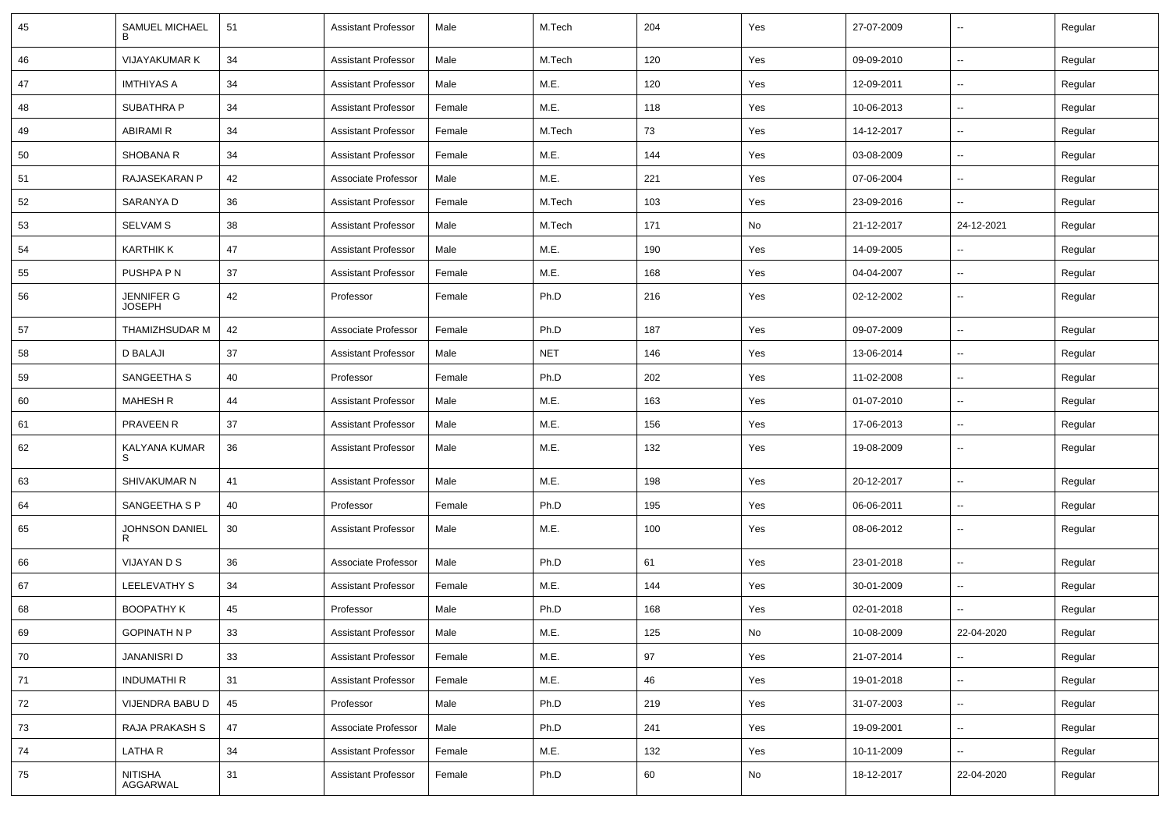| 45 | SAMUEL MICHAEL                     | 51 | <b>Assistant Professor</b> | Male   | M.Tech     | 204 | Yes | 27-07-2009 | $\overline{\phantom{a}}$ | Regular |
|----|------------------------------------|----|----------------------------|--------|------------|-----|-----|------------|--------------------------|---------|
| 46 | <b>VIJAYAKUMAR K</b>               | 34 | <b>Assistant Professor</b> | Male   | M.Tech     | 120 | Yes | 09-09-2010 | ⊷.                       | Regular |
| 47 | IMTHIYAS A                         | 34 | <b>Assistant Professor</b> | Male   | M.E.       | 120 | Yes | 12-09-2011 | ⊶.                       | Regular |
| 48 | <b>SUBATHRA P</b>                  | 34 | <b>Assistant Professor</b> | Female | M.E.       | 118 | Yes | 10-06-2013 | −−                       | Regular |
| 49 | <b>ABIRAMI R</b>                   | 34 | <b>Assistant Professor</b> | Female | M.Tech     | 73  | Yes | 14-12-2017 | $\overline{\phantom{a}}$ | Regular |
| 50 | SHOBANA R                          | 34 | <b>Assistant Professor</b> | Female | M.E.       | 144 | Yes | 03-08-2009 | $\sim$                   | Regular |
| 51 | RAJASEKARAN P                      | 42 | Associate Professor        | Male   | M.E.       | 221 | Yes | 07-06-2004 | $\sim$                   | Regular |
| 52 | SARANYA D                          | 36 | <b>Assistant Professor</b> | Female | M.Tech     | 103 | Yes | 23-09-2016 | ⊷.                       | Regular |
| 53 | <b>SELVAM S</b>                    | 38 | <b>Assistant Professor</b> | Male   | M.Tech     | 171 | No  | 21-12-2017 | 24-12-2021               | Regular |
| 54 | <b>KARTHIK K</b>                   | 47 | <b>Assistant Professor</b> | Male   | M.E.       | 190 | Yes | 14-09-2005 | --                       | Regular |
| 55 | PUSHPA P N                         | 37 | <b>Assistant Professor</b> | Female | M.E.       | 168 | Yes | 04-04-2007 | $\overline{\phantom{a}}$ | Regular |
| 56 | <b>JENNIFER G</b><br><b>JOSEPH</b> | 42 | Professor                  | Female | Ph.D       | 216 | Yes | 02-12-2002 | $\sim$                   | Regular |
| 57 | THAMIZHSUDAR M                     | 42 | Associate Professor        | Female | Ph.D       | 187 | Yes | 09-07-2009 | Ξ.                       | Regular |
| 58 | <b>D BALAJI</b>                    | 37 | <b>Assistant Professor</b> | Male   | <b>NET</b> | 146 | Yes | 13-06-2014 | $\overline{\phantom{a}}$ | Regular |
| 59 | SANGEETHA S                        | 40 | Professor                  | Female | Ph.D       | 202 | Yes | 11-02-2008 | ⊶.                       | Regular |
| 60 | <b>MAHESH R</b>                    | 44 | <b>Assistant Professor</b> | Male   | M.E.       | 163 | Yes | 01-07-2010 | $\sim$                   | Regular |
| 61 | <b>PRAVEEN R</b>                   | 37 | <b>Assistant Professor</b> | Male   | M.E.       | 156 | Yes | 17-06-2013 | $\overline{\phantom{a}}$ | Regular |
| 62 | KALYANA KUMAR<br>S                 | 36 | <b>Assistant Professor</b> | Male   | M.E.       | 132 | Yes | 19-08-2009 | --                       | Regular |
| 63 | SHIVAKUMAR N                       | 41 | <b>Assistant Professor</b> | Male   | M.E.       | 198 | Yes | 20-12-2017 | $\overline{\phantom{a}}$ | Regular |
| 64 | SANGEETHA S P                      | 40 | Professor                  | Female | Ph.D       | 195 | Yes | 06-06-2011 | $\sim$                   | Regular |
| 65 | JOHNSON DANIEL                     | 30 | <b>Assistant Professor</b> | Male   | M.E.       | 100 | Yes | 08-06-2012 | ⊶.                       | Regular |
| 66 | <b>VIJAYAN D S</b>                 | 36 | Associate Professor        | Male   | Ph.D       | 61  | Yes | 23-01-2018 | $\overline{\phantom{a}}$ | Regular |
| 67 | LEELEVATHY S                       | 34 | <b>Assistant Professor</b> | Female | M.E.       | 144 | Yes | 30-01-2009 | ⊶.                       | Regular |
| 68 | <b>BOOPATHY K</b>                  | 45 | Professor                  | Male   | Ph.D       | 168 | Yes | 02-01-2018 | Ξ.                       | Regular |
| 69 | <b>GOPINATH N P</b>                | 33 | <b>Assistant Professor</b> | Male   | M.E.       | 125 | No  | 10-08-2009 | 22-04-2020               | Regular |
| 70 | <b>JANANISRI D</b>                 | 33 | <b>Assistant Professor</b> | Female | M.E.       | 97  | Yes | 21-07-2014 | -−                       | Regular |
| 71 | <b>INDUMATHIR</b>                  | 31 | <b>Assistant Professor</b> | Female | M.E.       | 46  | Yes | 19-01-2018 | ш.                       | Regular |
| 72 | VIJENDRA BABU D                    | 45 | Professor                  | Male   | Ph.D       | 219 | Yes | 31-07-2003 | Щ,                       | Regular |
| 73 | RAJA PRAKASH S                     | 47 | Associate Professor        | Male   | Ph.D       | 241 | Yes | 19-09-2001 | $\overline{\phantom{a}}$ | Regular |
| 74 | <b>LATHAR</b>                      | 34 | <b>Assistant Professor</b> | Female | M.E.       | 132 | Yes | 10-11-2009 | Щ,                       | Regular |
| 75 | NITISHA<br>AGGARWAL                | 31 | <b>Assistant Professor</b> | Female | Ph.D       | 60  | No  | 18-12-2017 | 22-04-2020               | Regular |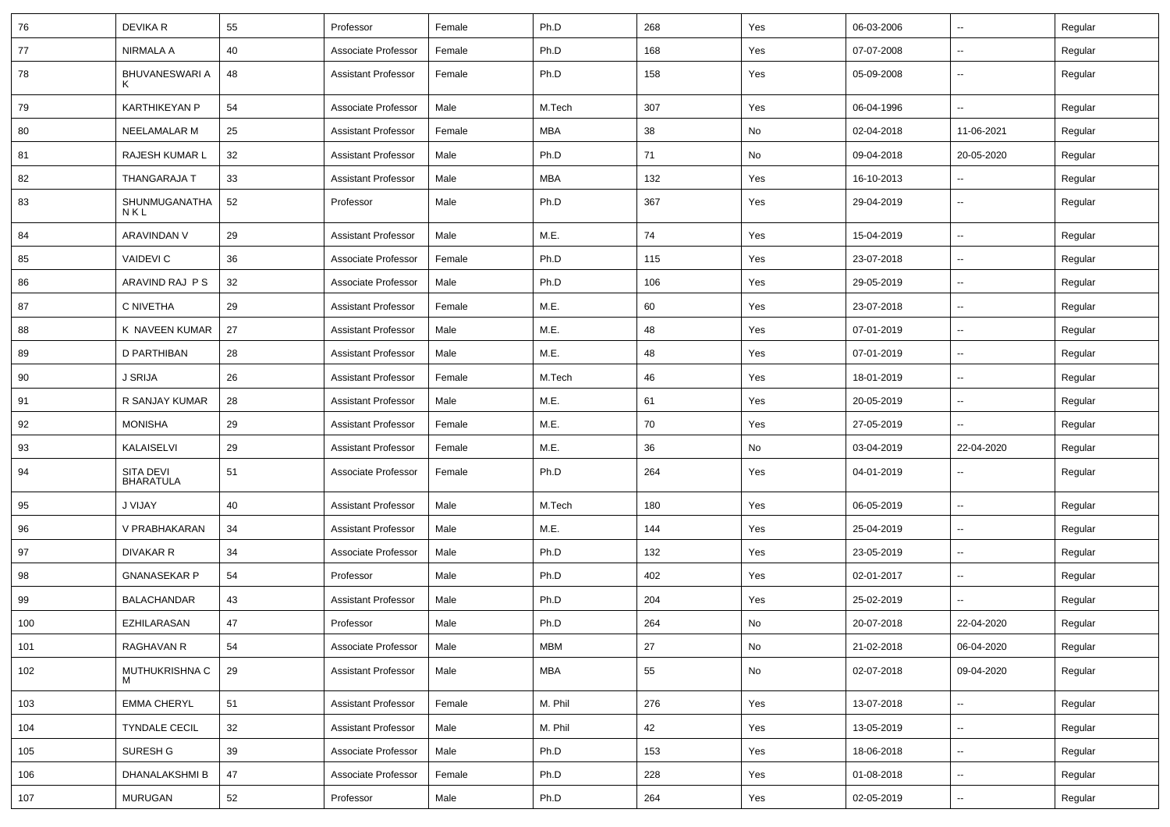| 76  | DEVIKA R                      | 55 | Professor                  | Female | Ph.D       | 268 | Yes           | 06-03-2006 | ⊶.                       | Regular |
|-----|-------------------------------|----|----------------------------|--------|------------|-----|---------------|------------|--------------------------|---------|
| 77  | NIRMALA A                     | 40 | Associate Professor        | Female | Ph.D       | 168 | Yes           | 07-07-2008 | -−                       | Regular |
| 78  | BHUVANESWARI A<br>ĸ           | 48 | <b>Assistant Professor</b> | Female | Ph.D       | 158 | Yes           | 05-09-2008 | ⊶.                       | Regular |
| 79  | KARTHIKEYAN P                 | 54 | Associate Professor        | Male   | M.Tech     | 307 | Yes           | 06-04-1996 | ⊷.                       | Regular |
| 80  | NEELAMALAR M                  | 25 | <b>Assistant Professor</b> | Female | MBA        | 38  | No            | 02-04-2018 | 11-06-2021               | Regular |
| 81  | RAJESH KUMAR L                | 32 | <b>Assistant Professor</b> | Male   | Ph.D       | 71  | No            | 09-04-2018 | 20-05-2020               | Regular |
| 82  | THANGARAJA T                  | 33 | <b>Assistant Professor</b> | Male   | MBA        | 132 | Yes           | 16-10-2013 | -−                       | Regular |
| 83  | SHUNMUGANATHA<br>NKL          | 52 | Professor                  | Male   | Ph.D       | 367 | Yes           | 29-04-2019 | ⊶.                       | Regular |
| 84  | ARAVINDAN V                   | 29 | <b>Assistant Professor</b> | Male   | M.E.       | 74  | Yes           | 15-04-2019 | $\overline{\phantom{a}}$ | Regular |
| 85  | <b>VAIDEVIC</b>               | 36 | Associate Professor        | Female | Ph.D       | 115 | Yes           | 23-07-2018 | --                       | Regular |
| 86  | ARAVIND RAJ P S               | 32 | Associate Professor        | Male   | Ph.D       | 106 | Yes           | 29-05-2019 | ⊷.                       | Regular |
| 87  | C NIVETHA                     | 29 | <b>Assistant Professor</b> | Female | M.E.       | 60  | Yes           | 23-07-2018 | --                       | Regular |
| 88  | K NAVEEN KUMAR                | 27 | <b>Assistant Professor</b> | Male   | M.E.       | 48  | Yes           | 07-01-2019 | --                       | Regular |
| 89  | D PARTHIBAN                   | 28 | <b>Assistant Professor</b> | Male   | M.E.       | 48  | Yes           | 07-01-2019 | $\sim$                   | Regular |
| 90  | <b>J SRIJA</b>                | 26 | <b>Assistant Professor</b> | Female | M.Tech     | 46  | Yes           | 18-01-2019 | ⊶.                       | Regular |
| 91  | R SANJAY KUMAR                | 28 | <b>Assistant Professor</b> | Male   | M.E.       | 61  | Yes           | 20-05-2019 | ⊶.                       | Regular |
| 92  | <b>MONISHA</b>                | 29 | <b>Assistant Professor</b> | Female | M.E.       | 70  | Yes           | 27-05-2019 | $\sim$                   | Regular |
| 93  | KALAISELVI                    | 29 | <b>Assistant Professor</b> | Female | M.E.       | 36  | No            | 03-04-2019 | 22-04-2020               | Regular |
| 94  | SITA DEVI<br><b>BHARATULA</b> | 51 | Associate Professor        | Female | Ph.D       | 264 | Yes           | 04-01-2019 |                          | Regular |
| 95  | J VIJAY                       | 40 | <b>Assistant Professor</b> | Male   | M.Tech     | 180 | Yes           | 06-05-2019 | -−                       | Regular |
| 96  | V PRABHAKARAN                 | 34 | <b>Assistant Professor</b> | Male   | M.E.       | 144 | Yes           | 25-04-2019 | $\overline{\phantom{a}}$ | Regular |
| 97  | <b>DIVAKAR R</b>              | 34 | Associate Professor        | Male   | Ph.D       | 132 | Yes           | 23-05-2019 | $\overline{\phantom{a}}$ | Regular |
| 98  | <b>GNANASEKAR P</b>           | 54 | Professor                  | Male   | Ph.D       | 402 | Yes           | 02-01-2017 | н.                       | Regular |
| 99  | <b>BALACHANDAR</b>            | 43 | <b>Assistant Professor</b> | Male   | Ph.D       | 204 | Yes           | 25-02-2019 | $\sim$                   | Regular |
| 100 | <b>EZHILARASAN</b>            | 47 | Professor                  | Male   | Ph.D       | 264 | No            | 20-07-2018 | 22-04-2020               | Regular |
| 101 | RAGHAVAN R                    | 54 | Associate Professor        | Male   | <b>MBM</b> | 27  | $\mathsf{No}$ | 21-02-2018 | 06-04-2020               | Regular |
| 102 | MUTHUKRISHNA C                | 29 | <b>Assistant Professor</b> | Male   | MBA        | 55  | No            | 02-07-2018 | 09-04-2020               | Regular |
| 103 | <b>EMMA CHERYL</b>            | 51 | <b>Assistant Professor</b> | Female | M. Phil    | 276 | Yes           | 13-07-2018 | ц,                       | Regular |
| 104 | <b>TYNDALE CECIL</b>          | 32 | <b>Assistant Professor</b> | Male   | M. Phil    | 42  | Yes           | 13-05-2019 | Щ,                       | Regular |
| 105 | SURESH G                      | 39 | Associate Professor        | Male   | Ph.D       | 153 | Yes           | 18-06-2018 | Щ,                       | Regular |
| 106 | DHANALAKSHMI B                | 47 | Associate Professor        | Female | Ph.D       | 228 | Yes           | 01-08-2018 | Щ,                       | Regular |
| 107 | MURUGAN                       | 52 | Professor                  | Male   | Ph.D       | 264 | Yes           | 02-05-2019 | н,                       | Regular |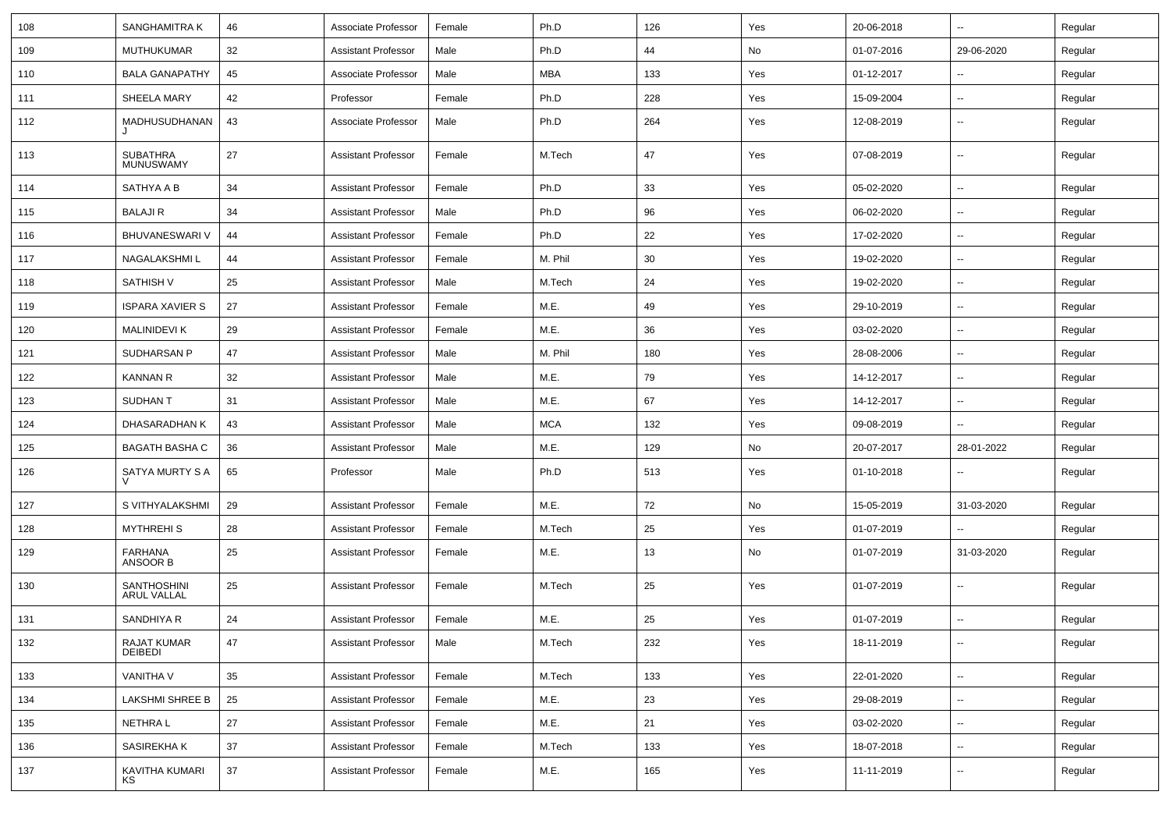| 108 | <b>SANGHAMITRA K</b>                     | 46 | Associate Professor        | Female | Ph.D       | 126 | Yes | 20-06-2018 | Ξ.                       | Regular |
|-----|------------------------------------------|----|----------------------------|--------|------------|-----|-----|------------|--------------------------|---------|
| 109 | <b>MUTHUKUMAR</b>                        | 32 | <b>Assistant Professor</b> | Male   | Ph.D       | 44  | No  | 01-07-2016 | 29-06-2020               | Regular |
| 110 | <b>BALA GANAPATHY</b>                    | 45 | Associate Professor        | Male   | <b>MBA</b> | 133 | Yes | 01-12-2017 | $\overline{\phantom{a}}$ | Regular |
| 111 | SHEELA MARY                              | 42 | Professor                  | Female | Ph.D       | 228 | Yes | 15-09-2004 | $\overline{\phantom{a}}$ | Regular |
| 112 | MADHUSUDHANAN<br>J                       | 43 | Associate Professor        | Male   | Ph.D       | 264 | Yes | 12-08-2019 | --                       | Regular |
| 113 | <b>SUBATHRA</b><br><b>MUNUSWAMY</b>      | 27 | <b>Assistant Professor</b> | Female | M.Tech     | 47  | Yes | 07-08-2019 | Щ,                       | Regular |
| 114 | SATHYA A B                               | 34 | <b>Assistant Professor</b> | Female | Ph.D       | 33  | Yes | 05-02-2020 | Ц.                       | Regular |
| 115 | <b>BALAJIR</b>                           | 34 | <b>Assistant Professor</b> | Male   | Ph.D       | 96  | Yes | 06-02-2020 | Щ,                       | Regular |
| 116 | BHUVANESWARI V                           | 44 | <b>Assistant Professor</b> | Female | Ph.D       | 22  | Yes | 17-02-2020 | $\overline{\phantom{a}}$ | Regular |
| 117 | NAGALAKSHMI L                            | 44 | <b>Assistant Professor</b> | Female | M. Phil    | 30  | Yes | 19-02-2020 | $\overline{\phantom{a}}$ | Regular |
| 118 | <b>SATHISH V</b>                         | 25 | <b>Assistant Professor</b> | Male   | M.Tech     | 24  | Yes | 19-02-2020 | $\overline{\phantom{a}}$ | Regular |
| 119 | <b>ISPARA XAVIER S</b>                   | 27 | <b>Assistant Professor</b> | Female | M.E.       | 49  | Yes | 29-10-2019 | $\overline{\phantom{a}}$ | Regular |
| 120 | <b>MALINIDEVI K</b>                      | 29 | <b>Assistant Professor</b> | Female | M.E.       | 36  | Yes | 03-02-2020 | $\overline{\phantom{a}}$ | Regular |
| 121 | SUDHARSAN P                              | 47 | <b>Assistant Professor</b> | Male   | M. Phil    | 180 | Yes | 28-08-2006 | Щ,                       | Regular |
| 122 | <b>KANNAN R</b>                          | 32 | <b>Assistant Professor</b> | Male   | M.E.       | 79  | Yes | 14-12-2017 | $\overline{\phantom{a}}$ | Regular |
| 123 | <b>SUDHAN T</b>                          | 31 | Assistant Professor        | Male   | M.E.       | 67  | Yes | 14-12-2017 | $\overline{\phantom{a}}$ | Regular |
| 124 | DHASARADHAN K                            | 43 | <b>Assistant Professor</b> | Male   | <b>MCA</b> | 132 | Yes | 09-08-2019 | $\overline{\phantom{a}}$ | Regular |
| 125 | <b>BAGATH BASHA C</b>                    | 36 | <b>Assistant Professor</b> | Male   | M.E.       | 129 | No  | 20-07-2017 | 28-01-2022               | Regular |
| 126 | SATYA MURTY S A<br>$\vee$                | 65 | Professor                  | Male   | Ph.D       | 513 | Yes | 01-10-2018 |                          | Regular |
| 127 | S VITHYALAKSHMI                          | 29 | <b>Assistant Professor</b> | Female | M.E.       | 72  | No  | 15-05-2019 | 31-03-2020               | Regular |
| 128 | <b>MYTHREHIS</b>                         | 28 | <b>Assistant Professor</b> | Female | M.Tech     | 25  | Yes | 01-07-2019 |                          | Regular |
| 129 | <b>FARHANA</b><br>ANSOOR B               | 25 | <b>Assistant Professor</b> | Female | M.E.       | 13  | No  | 01-07-2019 | 31-03-2020               | Regular |
| 130 | <b>SANTHOSHINI</b><br><b>ARUL VALLAL</b> | 25 | <b>Assistant Professor</b> | Female | M.Tech     | 25  | Yes | 01-07-2019 | $\overline{\phantom{a}}$ | Regular |
| 131 | SANDHIYA R                               | 24 | <b>Assistant Professor</b> | Female | M.E.       | 25  | Yes | 01-07-2019 | Щ,                       | Regular |
| 132 | RAJAT KUMAR<br>DEIBEDI                   | 47 | <b>Assistant Professor</b> | Male   | M.Tech     | 232 | Yes | 18-11-2019 | Ξ.                       | Regular |
| 133 | VANITHA V                                | 35 | <b>Assistant Professor</b> | Female | M.Tech     | 133 | Yes | 22-01-2020 | Ξ.                       | Regular |
| 134 | LAKSHMI SHREE B                          | 25 | <b>Assistant Professor</b> | Female | M.E.       | 23  | Yes | 29-08-2019 | Щ,                       | Regular |
| 135 | NETHRA L                                 | 27 | <b>Assistant Professor</b> | Female | M.E.       | 21  | Yes | 03-02-2020 | Щ,                       | Regular |
| 136 | SASIREKHA K                              | 37 | <b>Assistant Professor</b> | Female | M.Tech     | 133 | Yes | 18-07-2018 | Ξ.                       | Regular |
| 137 | KAVITHA KUMARI<br>ΚS                     | 37 | <b>Assistant Professor</b> | Female | M.E.       | 165 | Yes | 11-11-2019 | Щ,                       | Regular |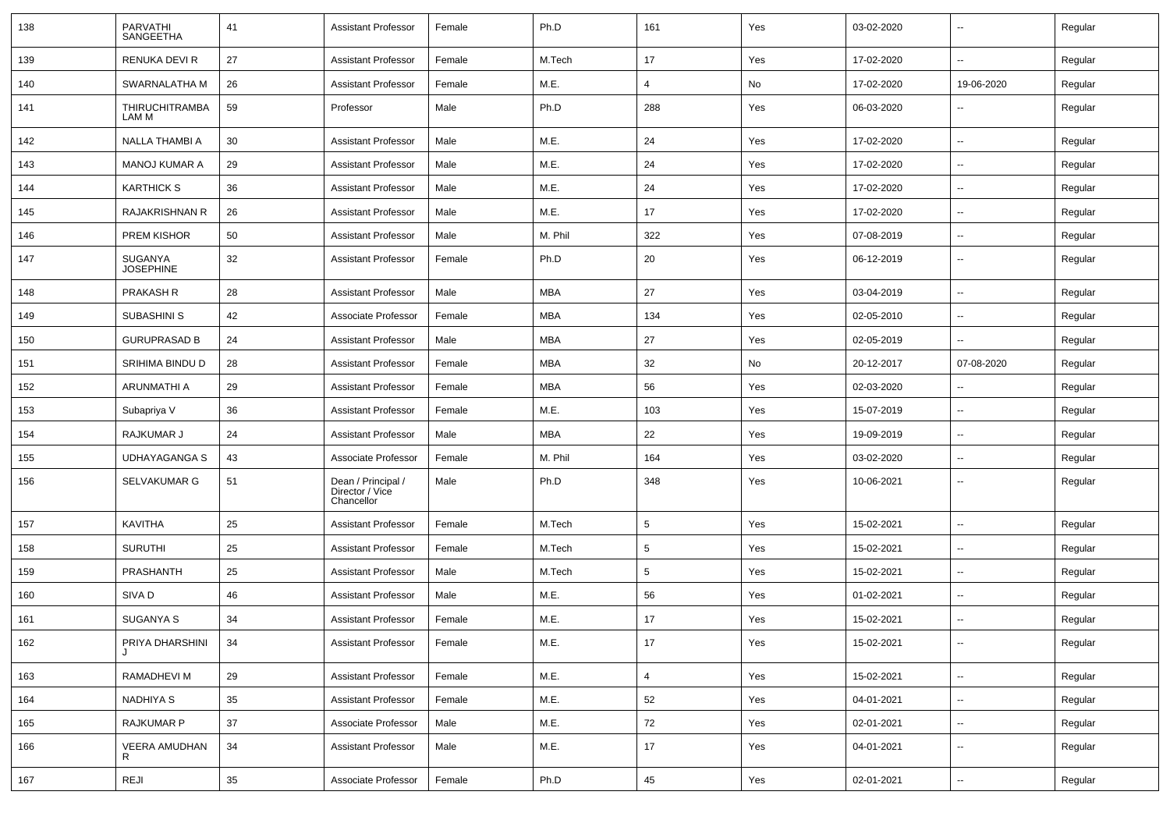| 138 | PARVATHI<br><b>SANGEETHA</b>   | 41 | <b>Assistant Professor</b>                          | Female | Ph.D       | 161             | Yes | 03-02-2020 | $\overline{\phantom{a}}$ | Regular |
|-----|--------------------------------|----|-----------------------------------------------------|--------|------------|-----------------|-----|------------|--------------------------|---------|
| 139 | RENUKA DEVI R                  | 27 | <b>Assistant Professor</b>                          | Female | M.Tech     | 17              | Yes | 17-02-2020 | $-$                      | Regular |
| 140 | SWARNALATHA M                  | 26 | <b>Assistant Professor</b>                          | Female | M.E.       | 4               | No  | 17-02-2020 | 19-06-2020               | Regular |
| 141 | <b>THIRUCHITRAMBA</b><br>LAM M | 59 | Professor                                           | Male   | Ph.D       | 288             | Yes | 06-03-2020 | --                       | Regular |
| 142 | NALLA THAMBI A                 | 30 | <b>Assistant Professor</b>                          | Male   | M.E.       | 24              | Yes | 17-02-2020 | $\overline{\phantom{a}}$ | Regular |
| 143 | <b>MANOJ KUMAR A</b>           | 29 | <b>Assistant Professor</b>                          | Male   | M.E.       | 24              | Yes | 17-02-2020 | --                       | Regular |
| 144 | <b>KARTHICK S</b>              | 36 | <b>Assistant Professor</b>                          | Male   | M.E.       | 24              | Yes | 17-02-2020 | $\overline{a}$           | Regular |
| 145 | <b>RAJAKRISHNAN R</b>          | 26 | <b>Assistant Professor</b>                          | Male   | M.E.       | 17              | Yes | 17-02-2020 | $\overline{\phantom{a}}$ | Regular |
| 146 | <b>PREM KISHOR</b>             | 50 | <b>Assistant Professor</b>                          | Male   | M. Phil    | 322             | Yes | 07-08-2019 | ⊷.                       | Regular |
| 147 | SUGANYA<br><b>JOSEPHINE</b>    | 32 | <b>Assistant Professor</b>                          | Female | Ph.D       | 20              | Yes | 06-12-2019 | $\overline{\phantom{a}}$ | Regular |
| 148 | PRAKASH R                      | 28 | <b>Assistant Professor</b>                          | Male   | <b>MBA</b> | 27              | Yes | 03-04-2019 | --                       | Regular |
| 149 | SUBASHINI S                    | 42 | Associate Professor                                 | Female | <b>MBA</b> | 134             | Yes | 02-05-2010 | $\overline{\phantom{a}}$ | Regular |
| 150 | <b>GURUPRASAD B</b>            | 24 | <b>Assistant Professor</b>                          | Male   | <b>MBA</b> | 27              | Yes | 02-05-2019 | $\overline{\phantom{a}}$ | Regular |
| 151 | SRIHIMA BINDU D                | 28 | <b>Assistant Professor</b>                          | Female | <b>MBA</b> | 32              | No  | 20-12-2017 | 07-08-2020               | Regular |
| 152 | ARUNMATHI A                    | 29 | <b>Assistant Professor</b>                          | Female | <b>MBA</b> | 56              | Yes | 02-03-2020 | $\overline{\phantom{a}}$ | Regular |
| 153 | Subapriya V                    | 36 | Assistant Professor                                 | Female | M.E.       | 103             | Yes | 15-07-2019 | $\overline{\phantom{a}}$ | Regular |
| 154 | RAJKUMAR J                     | 24 | <b>Assistant Professor</b>                          | Male   | MBA        | 22              | Yes | 19-09-2019 | --                       | Regular |
| 155 | UDHAYAGANGA S                  | 43 | Associate Professor                                 | Female | M. Phil    | 164             | Yes | 03-02-2020 | --                       | Regular |
| 156 | SELVAKUMAR G                   | 51 | Dean / Principal /<br>Director / Vice<br>Chancellor | Male   | Ph.D       | 348             | Yes | 10-06-2021 | --                       | Regular |
| 157 | <b>KAVITHA</b>                 | 25 | <b>Assistant Professor</b>                          | Female | M.Tech     | $5\phantom{.0}$ | Yes | 15-02-2021 | $\overline{\phantom{a}}$ | Regular |
| 158 | <b>SURUTHI</b>                 | 25 | <b>Assistant Professor</b>                          | Female | M.Tech     | 5               | Yes | 15-02-2021 | --                       | Regular |
| 159 | <b>PRASHANTH</b>               | 25 | <b>Assistant Professor</b>                          | Male   | M.Tech     | 5               | Yes | 15-02-2021 | --                       | Regular |
| 160 | SIVA D                         | 46 | <b>Assistant Professor</b>                          | Male   | M.E.       | 56              | Yes | 01-02-2021 | $\overline{\phantom{a}}$ | Regular |
| 161 | SUGANYA S                      | 34 | <b>Assistant Professor</b>                          | Female | M.E.       | 17              | Yes | 15-02-2021 | ⊷.                       | Regular |
| 162 | PRIYA DHARSHINI                | 34 | Assistant Professor                                 | Female | M.E.       | 17              | Yes | 15-02-2021 | $\overline{\phantom{a}}$ | Regular |
| 163 | RAMADHEVI M                    | 29 | <b>Assistant Professor</b>                          | Female | M.E.       | $\overline{4}$  | Yes | 15-02-2021 | $\overline{\phantom{a}}$ | Regular |
| 164 | NADHIYA S                      | 35 | <b>Assistant Professor</b>                          | Female | M.E.       | 52              | Yes | 04-01-2021 | $\sim$                   | Regular |
| 165 | <b>RAJKUMAR P</b>              | 37 | Associate Professor                                 | Male   | M.E.       | 72              | Yes | 02-01-2021 | $\sim$                   | Regular |
| 166 | VEERA AMUDHAN<br>R             | 34 | <b>Assistant Professor</b>                          | Male   | M.E.       | 17              | Yes | 04-01-2021 | Щ,                       | Regular |
| 167 | REJI                           | 35 | Associate Professor                                 | Female | Ph.D       | 45              | Yes | 02-01-2021 | $\overline{\phantom{a}}$ | Regular |